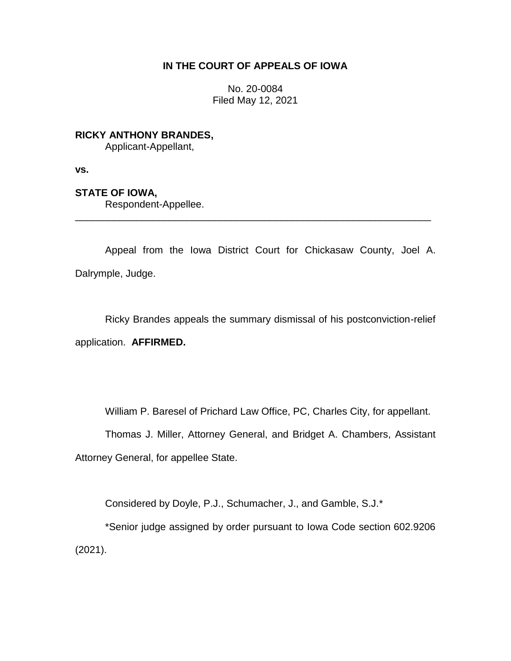## **IN THE COURT OF APPEALS OF IOWA**

No. 20-0084 Filed May 12, 2021

**RICKY ANTHONY BRANDES,** Applicant-Appellant,

**vs.**

**STATE OF IOWA,**

Respondent-Appellee.

Appeal from the Iowa District Court for Chickasaw County, Joel A. Dalrymple, Judge.

\_\_\_\_\_\_\_\_\_\_\_\_\_\_\_\_\_\_\_\_\_\_\_\_\_\_\_\_\_\_\_\_\_\_\_\_\_\_\_\_\_\_\_\_\_\_\_\_\_\_\_\_\_\_\_\_\_\_\_\_\_\_\_\_

Ricky Brandes appeals the summary dismissal of his postconviction-relief application. **AFFIRMED.**

William P. Baresel of Prichard Law Office, PC, Charles City, for appellant.

Thomas J. Miller, Attorney General, and Bridget A. Chambers, Assistant Attorney General, for appellee State.

Considered by Doyle, P.J., Schumacher, J., and Gamble, S.J.\*

\*Senior judge assigned by order pursuant to Iowa Code section 602.9206 (2021).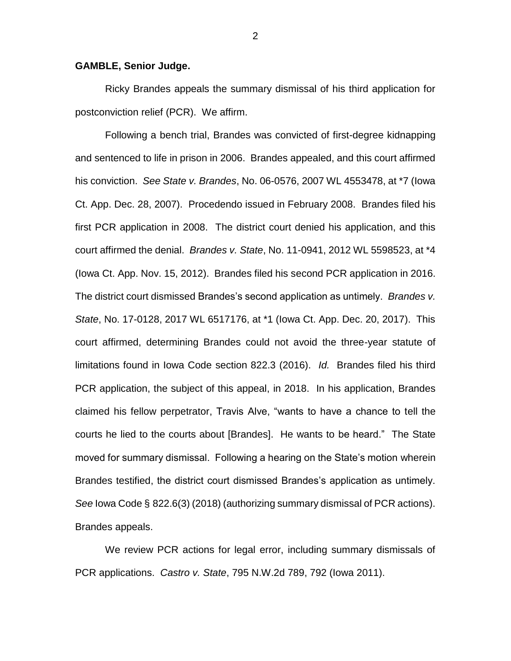## **GAMBLE, Senior Judge.**

Ricky Brandes appeals the summary dismissal of his third application for postconviction relief (PCR). We affirm.

Following a bench trial, Brandes was convicted of first-degree kidnapping and sentenced to life in prison in 2006. Brandes appealed, and this court affirmed his conviction. *See State v. Brandes*, No. 06-0576, 2007 WL 4553478, at \*7 (Iowa Ct. App. Dec. 28, 2007). Procedendo issued in February 2008. Brandes filed his first PCR application in 2008. The district court denied his application, and this court affirmed the denial. *Brandes v. State*, No. 11-0941, 2012 WL 5598523, at \*4 (Iowa Ct. App. Nov. 15, 2012). Brandes filed his second PCR application in 2016. The district court dismissed Brandes's second application as untimely. *Brandes v. State*, No. 17-0128, 2017 WL 6517176, at \*1 (Iowa Ct. App. Dec. 20, 2017). This court affirmed, determining Brandes could not avoid the three-year statute of limitations found in Iowa Code section 822.3 (2016). *Id.* Brandes filed his third PCR application, the subject of this appeal, in 2018. In his application, Brandes claimed his fellow perpetrator, Travis Alve, "wants to have a chance to tell the courts he lied to the courts about [Brandes]. He wants to be heard." The State moved for summary dismissal. Following a hearing on the State's motion wherein Brandes testified, the district court dismissed Brandes's application as untimely. *See* Iowa Code § 822.6(3) (2018) (authorizing summary dismissal of PCR actions). Brandes appeals.

We review PCR actions for legal error, including summary dismissals of PCR applications. *Castro v. State*, 795 N.W.2d 789, 792 (Iowa 2011).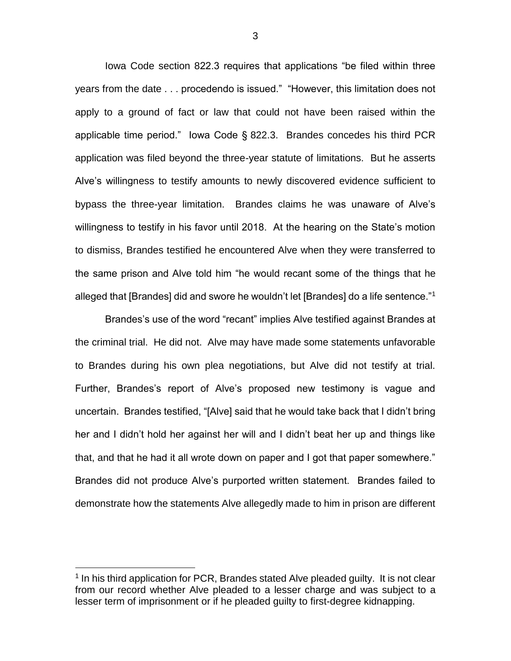Iowa Code section 822.3 requires that applications "be filed within three years from the date . . . procedendo is issued." "However, this limitation does not apply to a ground of fact or law that could not have been raised within the applicable time period." Iowa Code § 822.3. Brandes concedes his third PCR application was filed beyond the three-year statute of limitations. But he asserts Alve's willingness to testify amounts to newly discovered evidence sufficient to bypass the three-year limitation. Brandes claims he was unaware of Alve's willingness to testify in his favor until 2018. At the hearing on the State's motion to dismiss, Brandes testified he encountered Alve when they were transferred to the same prison and Alve told him "he would recant some of the things that he alleged that [Brandes] did and swore he wouldn't let [Brandes] do a life sentence."<sup>1</sup>

Brandes's use of the word "recant" implies Alve testified against Brandes at the criminal trial. He did not. Alve may have made some statements unfavorable to Brandes during his own plea negotiations, but Alve did not testify at trial. Further, Brandes's report of Alve's proposed new testimony is vague and uncertain. Brandes testified, "[Alve] said that he would take back that I didn't bring her and I didn't hold her against her will and I didn't beat her up and things like that, and that he had it all wrote down on paper and I got that paper somewhere." Brandes did not produce Alve's purported written statement. Brandes failed to demonstrate how the statements Alve allegedly made to him in prison are different

 $\overline{a}$ 

<sup>&</sup>lt;sup>1</sup> In his third application for PCR, Brandes stated Alve pleaded guilty. It is not clear from our record whether Alve pleaded to a lesser charge and was subject to a lesser term of imprisonment or if he pleaded guilty to first-degree kidnapping.